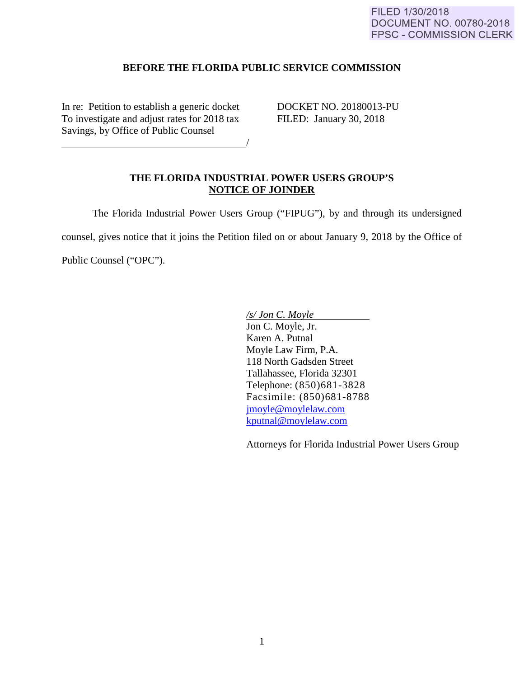## **BEFORE THE FLORIDA PUBLIC SERVICE COMMISSION**

In re: Petition to establish a generic docket DOCKET NO. 20180013-PU<br>To investigate and adjust rates for 2018 tax FILED: January 30, 2018 To investigate and adjust rates for 2018 tax Savings, by Office of Public Counsel

<u>/</u>

## **THE FLORIDA INDUSTRIAL POWER USERS GROUP'S NOTICE OF JOINDER**

The Florida Industrial Power Users Group ("FIPUG"), by and through its undersigned

counsel, gives notice that it joins the Petition filed on or about January 9, 2018 by the Office of

Public Counsel ("OPC").

*/s/ Jon C. Moyle*  Jon C. Moyle, Jr. Karen A. Putnal Moyle Law Firm, P.A. 118 North Gadsden Street Tallahassee, Florida 32301 Telephone: (850)681-3828 Facsimile: (850)681-8788 [jmoyle@moylelaw.com](mailto:jmoyle@moylelaw.com) [kputnal@moylelaw.com](mailto:kputnal@moylelaw.com)

Attorneys for Florida Industrial Power Users Group